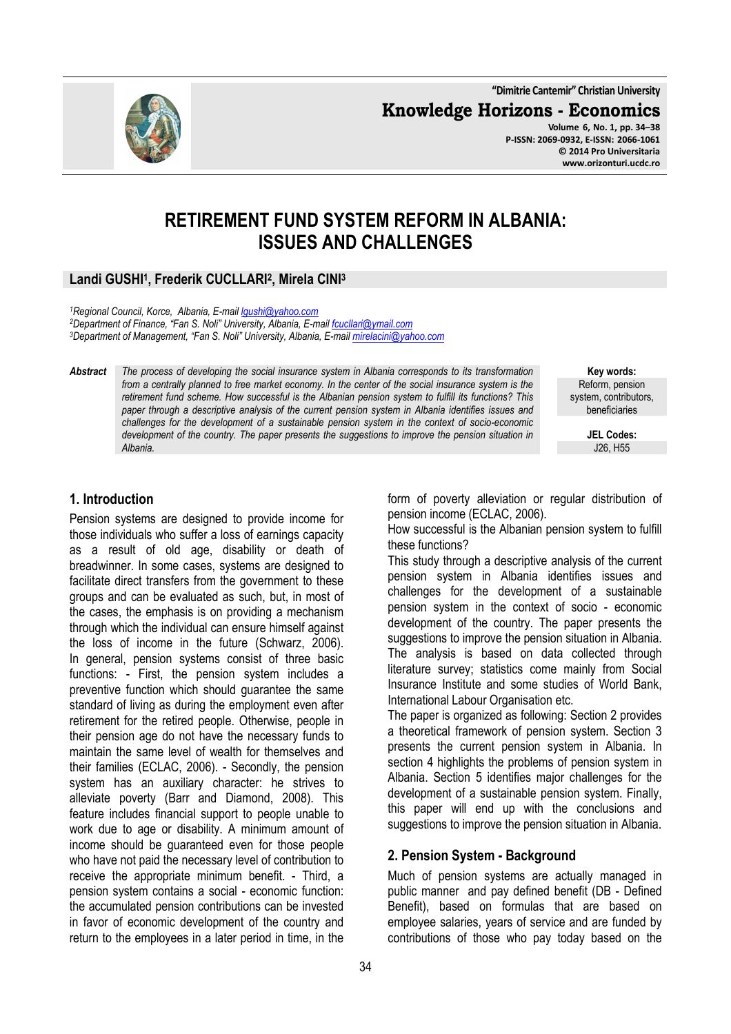**"Dimitrie Cantemir" Christian University**

**Knowledge Horizons - Economics**

**Volume 6, No. 1, pp. 34–38 P-ISSN: 2069-0932, E-ISSN: 2066-1061 © 2014 Pro Universitaria www.orizonturi.ucdc.ro**

# **RETIREMENT FUND SYSTEM REFORM IN ALBANIA: ISSUES AND CHALLENGES**

# **Landi GUSHI<sup>1</sup> , Frederik CUCLLARI<sup>2</sup> , Mirela CINI<sup>3</sup>**

*<sup>1</sup>Regional Council, Korce, Albania, E-mail lgushi@yahoo.com <sup>2</sup>Department of Finance, "Fan S. Noli" University, Albania, E-mail fcucllari@ymail.com <sup>3</sup>Department of Management, "Fan S. Noli" University, Albania, E-mail mirelacini@yahoo.com* 

*Abstract The process of developing the social insurance system in Albania corresponds to its transformation from a centrally planned to free market economy. In the center of the social insurance system is the retirement fund scheme. How successful is the Albanian pension system to fulfill its functions? This paper through a descriptive analysis of the current pension system in Albania identifies issues and challenges for the development of a sustainable pension system in the context of socio-economic development of the country. The paper presents the suggestions to improve the pension situation in Albania.* 

**Key words:** Reform, pension system, contributors, beneficiaries

> **JEL Codes:** J26, H55

# **1. Introduction**

Pension systems are designed to provide income for those individuals who suffer a loss of earnings capacity as a result of old age, disability or death of breadwinner. In some cases, systems are designed to facilitate direct transfers from the government to these groups and can be evaluated as such, but, in most of the cases, the emphasis is on providing a mechanism through which the individual can ensure himself against the loss of income in the future (Schwarz, 2006). In general, pension systems consist of three basic functions: - First, the pension system includes a preventive function which should guarantee the same standard of living as during the employment even after retirement for the retired people. Otherwise, people in their pension age do not have the necessary funds to maintain the same level of wealth for themselves and their families (ECLAC, 2006). - Secondly, the pension system has an auxiliary character: he strives to alleviate poverty (Barr and Diamond, 2008). This feature includes financial support to people unable to work due to age or disability. A minimum amount of income should be guaranteed even for those people who have not paid the necessary level of contribution to receive the appropriate minimum benefit. - Third, a pension system contains a social - economic function: the accumulated pension contributions can be invested in favor of economic development of the country and return to the employees in a later period in time, in the

form of poverty alleviation or regular distribution of pension income (ECLAC, 2006).

How successful is the Albanian pension system to fulfill these functions?

This study through a descriptive analysis of the current pension system in Albania identifies issues and challenges for the development of a sustainable pension system in the context of socio - economic development of the country. The paper presents the suggestions to improve the pension situation in Albania. The analysis is based on data collected through literature survey; statistics come mainly from Social Insurance Institute and some studies of World Bank, International Labour Organisation etc.

The paper is organized as following: Section 2 provides a theoretical framework of pension system. Section 3 presents the current pension system in Albania. In section 4 highlights the problems of pension system in Albania. Section 5 identifies major challenges for the development of a sustainable pension system. Finally, this paper will end up with the conclusions and suggestions to improve the pension situation in Albania.

# **2. Pension System - Background**

Much of pension systems are actually managed in public manner and pay defined benefit (DB - Defined Benefit), based on formulas that are based on employee salaries, years of service and are funded by contributions of those who pay today based on the

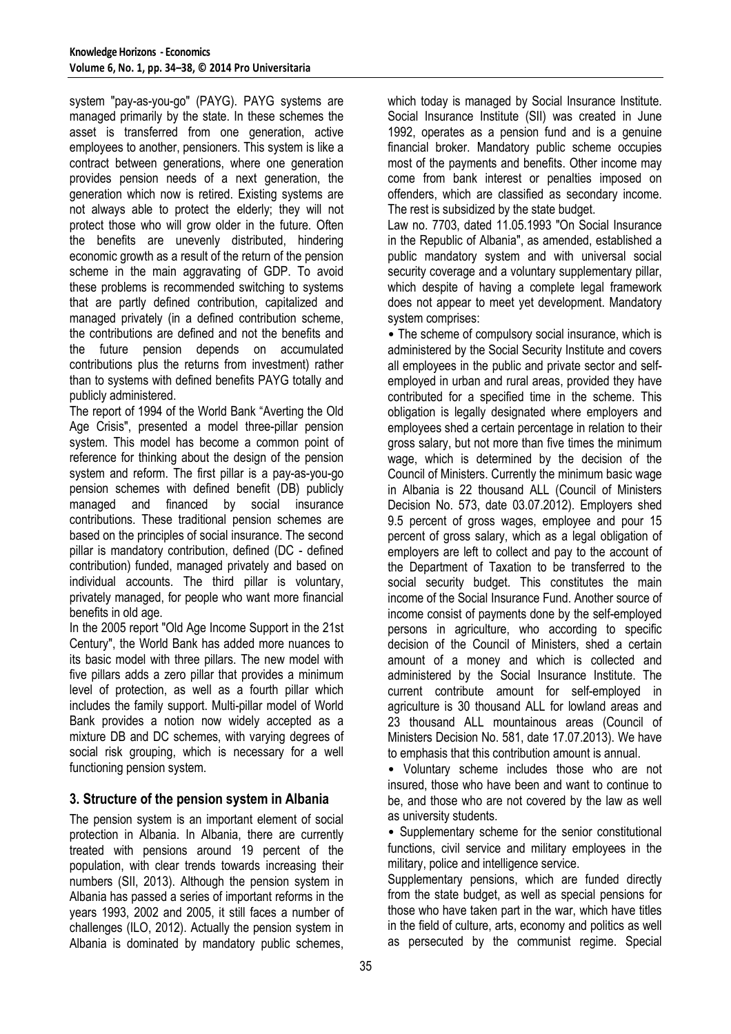system "pay-as-you-go" (PAYG). PAYG systems are managed primarily by the state. In these schemes the asset is transferred from one generation, active employees to another, pensioners. This system is like a contract between generations, where one generation provides pension needs of a next generation, the generation which now is retired. Existing systems are not always able to protect the elderly; they will not protect those who will grow older in the future. Often the benefits are unevenly distributed, hindering economic growth as a result of the return of the pension scheme in the main aggravating of GDP. To avoid these problems is recommended switching to systems that are partly defined contribution, capitalized and managed privately (in a defined contribution scheme, the contributions are defined and not the benefits and the future pension depends on accumulated contributions plus the returns from investment) rather than to systems with defined benefits PAYG totally and publicly administered.

The report of 1994 of the World Bank "Averting the Old Age Crisis", presented a model three-pillar pension system. This model has become a common point of reference for thinking about the design of the pension system and reform. The first pillar is a pay-as-you-go pension schemes with defined benefit (DB) publicly managed and financed by social insurance contributions. These traditional pension schemes are based on the principles of social insurance. The second pillar is mandatory contribution, defined (DC - defined contribution) funded, managed privately and based on individual accounts. The third pillar is voluntary, privately managed, for people who want more financial benefits in old age.

In the 2005 report "Old Age Income Support in the 21st Century", the World Bank has added more nuances to its basic model with three pillars. The new model with five pillars adds a zero pillar that provides a minimum level of protection, as well as a fourth pillar which includes the family support. Multi-pillar model of World Bank provides a notion now widely accepted as a mixture DB and DC schemes, with varying degrees of social risk grouping, which is necessary for a well functioning pension system.

# **3. Structure of the pension system in Albania**

The pension system is an important element of social protection in Albania. In Albania, there are currently treated with pensions around 19 percent of the population, with clear trends towards increasing their numbers (SII, 2013). Although the pension system in Albania has passed a series of important reforms in the years 1993, 2002 and 2005, it still faces a number of challenges (ILO, 2012). Actually the pension system in Albania is dominated by mandatory public schemes,

which today is managed by Social Insurance Institute. Social Insurance Institute (SII) was created in June 1992, operates as a pension fund and is a genuine financial broker. Mandatory public scheme occupies most of the payments and benefits. Other income may come from bank interest or penalties imposed on offenders, which are classified as secondary income. The rest is subsidized by the state budget.

Law no. 7703, dated 11.05.1993 "On Social Insurance in the Republic of Albania", as amended, established a public mandatory system and with universal social security coverage and a voluntary supplementary pillar, which despite of having a complete legal framework does not appear to meet yet development. Mandatory system comprises:

• The scheme of compulsory social insurance, which is administered by the Social Security Institute and covers all employees in the public and private sector and selfemployed in urban and rural areas, provided they have contributed for a specified time in the scheme. This obligation is legally designated where employers and employees shed a certain percentage in relation to their gross salary, but not more than five times the minimum wage, which is determined by the decision of the Council of Ministers. Currently the minimum basic wage in Albania is 22 thousand ALL (Council of Ministers Decision No. 573, date 03.07.2012). Employers shed 9.5 percent of gross wages, employee and pour 15 percent of gross salary, which as a legal obligation of employers are left to collect and pay to the account of the Department of Taxation to be transferred to the social security budget. This constitutes the main income of the Social Insurance Fund. Another source of income consist of payments done by the self-employed persons in agriculture, who according to specific decision of the Council of Ministers, shed a certain amount of a money and which is collected and administered by the Social Insurance Institute. The current contribute amount for self-employed in agriculture is 30 thousand ALL for lowland areas and 23 thousand ALL mountainous areas (Council of Ministers Decision No. 581, date 17.07.2013). We have to emphasis that this contribution amount is annual.

• Voluntary scheme includes those who are not insured, those who have been and want to continue to be, and those who are not covered by the law as well as university students.

• Supplementary scheme for the senior constitutional functions, civil service and military employees in the military, police and intelligence service.

Supplementary pensions, which are funded directly from the state budget, as well as special pensions for those who have taken part in the war, which have titles in the field of culture, arts, economy and politics as well as persecuted by the communist regime. Special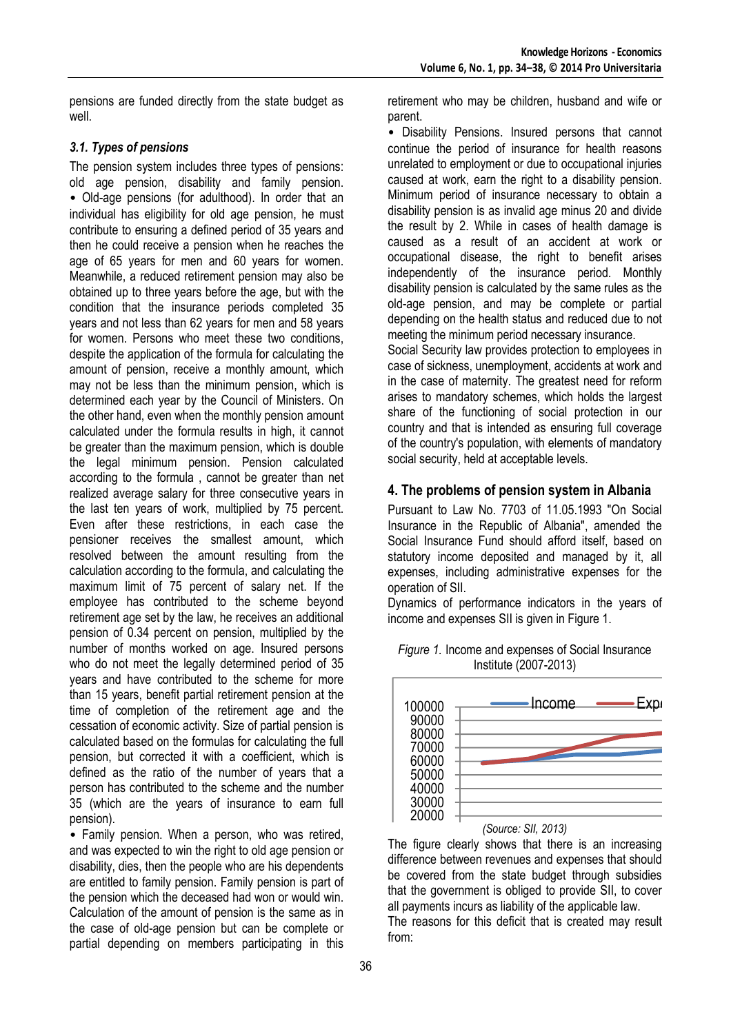pensions are funded directly from the state budget as well.

#### *3.1. Types of pensions*

The pension system includes three types of pensions: old age pension, disability and family pension. • Old-age pensions (for adulthood). In order that an individual has eligibility for old age pension, he must contribute to ensuring a defined period of 35 years and then he could receive a pension when he reaches the age of 65 years for men and 60 years for women. Meanwhile, a reduced retirement pension may also be obtained up to three years before the age, but with the condition that the insurance periods completed 35 years and not less than 62 years for men and 58 years for women. Persons who meet these two conditions, despite the application of the formula for calculating the amount of pension, receive a monthly amount, which may not be less than the minimum pension, which is determined each year by the Council of Ministers. On the other hand, even when the monthly pension amount calculated under the formula results in high, it cannot be greater than the maximum pension, which is double the legal minimum pension. Pension calculated according to the formula , cannot be greater than net realized average salary for three consecutive years in the last ten years of work, multiplied by 75 percent. Even after these restrictions, in each case the pensioner receives the smallest amount, which resolved between the amount resulting from the calculation according to the formula, and calculating the maximum limit of 75 percent of salary net. If the employee has contributed to the scheme beyond retirement age set by the law, he receives an additional pension of 0.34 percent on pension, multiplied by the number of months worked on age. Insured persons who do not meet the legally determined period of 35 years and have contributed to the scheme for more than 15 years, benefit partial retirement pension at the time of completion of the retirement age and the cessation of economic activity. Size of partial pension is calculated based on the formulas for calculating the full pension, but corrected it with a coefficient, which is defined as the ratio of the number of years that a person has contributed to the scheme and the number 35 (which are the years of insurance to earn full pension).

• Family pension. When a person, who was retired, and was expected to win the right to old age pension or disability, dies, then the people who are his dependents are entitled to family pension. Family pension is part of the pension which the deceased had won or would win. Calculation of the amount of pension is the same as in the case of old-age pension but can be complete or partial depending on members participating in this retirement who may be children, husband and wife or parent.

• Disability Pensions. Insured persons that cannot continue the period of insurance for health reasons unrelated to employment or due to occupational injuries caused at work, earn the right to a disability pension. Minimum period of insurance necessary to obtain a disability pension is as invalid age minus 20 and divide the result by 2. While in cases of health damage is caused as a result of an accident at work or occupational disease, the right to benefit arises independently of the insurance period. Monthly disability pension is calculated by the same rules as the old-age pension, and may be complete or partial depending on the health status and reduced due to not meeting the minimum period necessary insurance.

Social Security law provides protection to employees in case of sickness, unemployment, accidents at work and in the case of maternity. The greatest need for reform arises to mandatory schemes, which holds the largest share of the functioning of social protection in our country and that is intended as ensuring full coverage of the country's population, with elements of mandatory social security, held at acceptable levels.

# **4. The problems of pension system in Albania**

Pursuant to Law No. 7703 of 11.05.1993 "On Social Insurance in the Republic of Albania", amended the Social Insurance Fund should afford itself, based on statutory income deposited and managed by it, all expenses, including administrative expenses for the operation of SII.

Dynamics of performance indicators in the years of income and expenses SII is given in Figure 1.



*Figure 1.* Income and expenses of Social Insurance Institute (2007-2013)

The figure clearly shows that there is an increasing difference between revenues and expenses that should be covered from the state budget through subsidies that the government is obliged to provide SII, to cover all payments incurs as liability of the applicable law. The reasons for this deficit that is created may result from: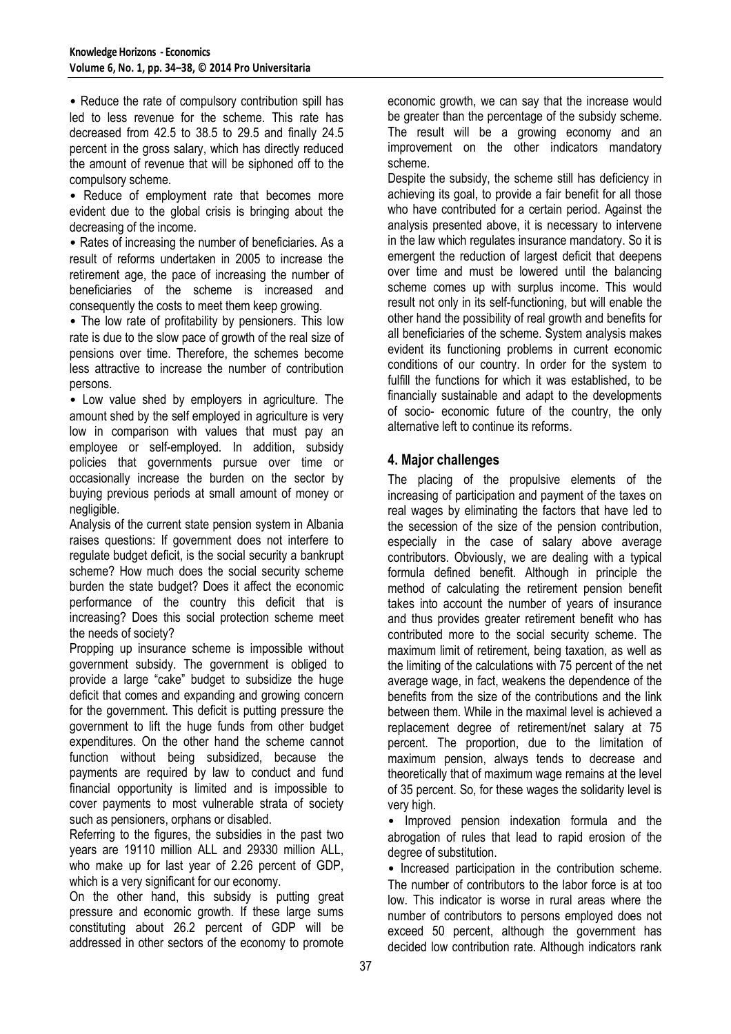• Reduce the rate of compulsory contribution spill has led to less revenue for the scheme. This rate has decreased from 42.5 to 38.5 to 29.5 and finally 24.5 percent in the gross salary, which has directly reduced the amount of revenue that will be siphoned off to the compulsory scheme.

• Reduce of employment rate that becomes more evident due to the global crisis is bringing about the decreasing of the income.

• Rates of increasing the number of beneficiaries. As a result of reforms undertaken in 2005 to increase the retirement age, the pace of increasing the number of beneficiaries of the scheme is increased and consequently the costs to meet them keep growing.

• The low rate of profitability by pensioners. This low rate is due to the slow pace of growth of the real size of pensions over time. Therefore, the schemes become less attractive to increase the number of contribution persons.

• Low value shed by employers in agriculture. The amount shed by the self employed in agriculture is very low in comparison with values that must pay an employee or self-employed. In addition, subsidy policies that governments pursue over time or occasionally increase the burden on the sector by buying previous periods at small amount of money or negligible.

Analysis of the current state pension system in Albania raises questions: If government does not interfere to regulate budget deficit, is the social security a bankrupt scheme? How much does the social security scheme burden the state budget? Does it affect the economic performance of the country this deficit that is increasing? Does this social protection scheme meet the needs of society?

Propping up insurance scheme is impossible without government subsidy. The government is obliged to provide a large "cake" budget to subsidize the huge deficit that comes and expanding and growing concern for the government. This deficit is putting pressure the government to lift the huge funds from other budget expenditures. On the other hand the scheme cannot function without being subsidized, because the payments are required by law to conduct and fund financial opportunity is limited and is impossible to cover payments to most vulnerable strata of society such as pensioners, orphans or disabled.

Referring to the figures, the subsidies in the past two years are 19110 million ALL and 29330 million ALL, who make up for last year of 2.26 percent of GDP, which is a very significant for our economy.

On the other hand, this subsidy is putting great pressure and economic growth. If these large sums constituting about 26.2 percent of GDP will be addressed in other sectors of the economy to promote economic growth, we can say that the increase would be greater than the percentage of the subsidy scheme. The result will be a growing economy and an improvement on the other indicators mandatory scheme.

Despite the subsidy, the scheme still has deficiency in achieving its goal, to provide a fair benefit for all those who have contributed for a certain period. Against the analysis presented above, it is necessary to intervene in the law which regulates insurance mandatory. So it is emergent the reduction of largest deficit that deepens over time and must be lowered until the balancing scheme comes up with surplus income. This would result not only in its self-functioning, but will enable the other hand the possibility of real growth and benefits for all beneficiaries of the scheme. System analysis makes evident its functioning problems in current economic conditions of our country. In order for the system to fulfill the functions for which it was established, to be financially sustainable and adapt to the developments of socio- economic future of the country, the only alternative left to continue its reforms.

# **4. Major challenges**

The placing of the propulsive elements of the increasing of participation and payment of the taxes on real wages by eliminating the factors that have led to the secession of the size of the pension contribution, especially in the case of salary above average contributors. Obviously, we are dealing with a typical formula defined benefit. Although in principle the method of calculating the retirement pension benefit takes into account the number of years of insurance and thus provides greater retirement benefit who has contributed more to the social security scheme. The maximum limit of retirement, being taxation, as well as the limiting of the calculations with 75 percent of the net average wage, in fact, weakens the dependence of the benefits from the size of the contributions and the link between them. While in the maximal level is achieved a replacement degree of retirement/net salary at 75 percent. The proportion, due to the limitation of maximum pension, always tends to decrease and theoretically that of maximum wage remains at the level of 35 percent. So, for these wages the solidarity level is very high.

• Improved pension indexation formula and the abrogation of rules that lead to rapid erosion of the degree of substitution.

• Increased participation in the contribution scheme. The number of contributors to the labor force is at too low. This indicator is worse in rural areas where the number of contributors to persons employed does not exceed 50 percent, although the government has decided low contribution rate. Although indicators rank